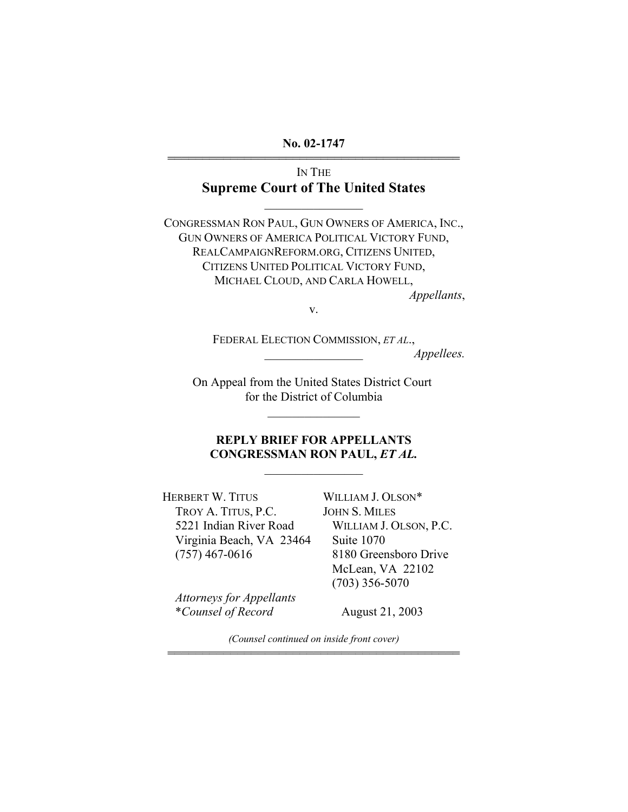**No. 02-1747**  444444444444444444444444444444444444444444

> IN THE **Supreme Court of The United States**

> > $\frac{1}{2}$

CONGRESSMAN RON PAUL, GUN OWNERS OF AMERICA, INC., GUN OWNERS OF AMERICA POLITICAL VICTORY FUND, REALCAMPAIGNREFORM.ORG, CITIZENS UNITED, CITIZENS UNITED POLITICAL VICTORY FUND, MICHAEL CLOUD, AND CARLA HOWELL, *Appellants*,

v.

FEDERAL ELECTION COMMISSION, *ET AL*., \_\_\_\_\_\_\_\_\_\_\_\_\_\_\_\_ *Appellees.* 

On Appeal from the United States District Court for the District of Columbia

 $\mathcal{L}_\text{max}$ 

# **REPLY BRIEF FOR APPELLANTS CONGRESSMAN RON PAUL,** *ET AL.*

 $\frac{1}{2}$ 

HERBERT W. TITUS TROY A. TITUS, P.C. 5221 Indian River Road Virginia Beach, VA 23464 (757) 467-0616

WILLIAM J. OLSON\* JOHN S. MILES WILLIAM J. OLSON, P.C. Suite 1070 8180 Greensboro Drive McLean, VA 22102 (703) 356-5070

*Attorneys for Appellants*  \**Counsel of Record* 

August 21, 2003

*(Counsel continued on inside front cover)*  444444444444444444444444444444444444444444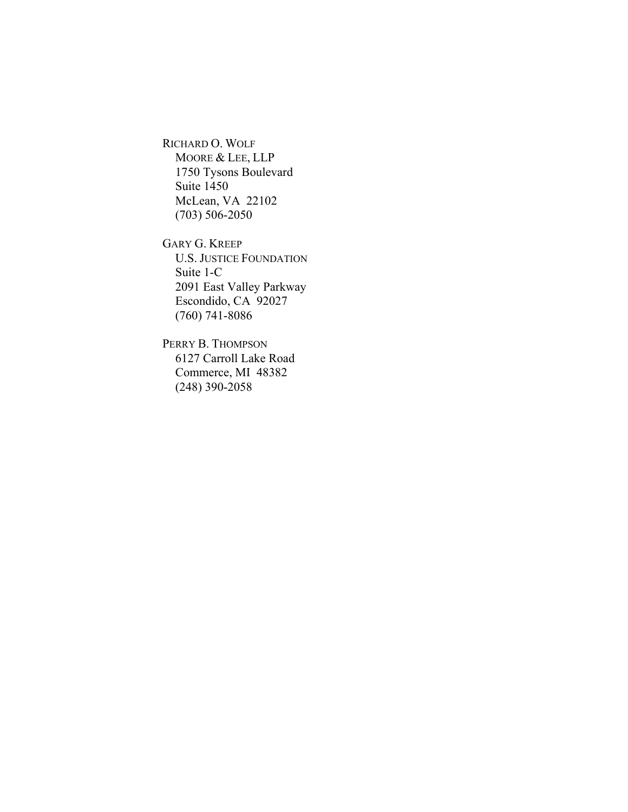RICHARD O. WOLF MOORE & LEE, LLP 1750 Tysons Boulevard Suite 1450 McLean, VA 22102 (703) 506-2050

GARY G. KREEP U.S. JUSTICE FOUNDATION Suite 1-C 2091 East Valley Parkway Escondido, CA 92027 (760) 741-8086

PERRY B. THOMPSON 6127 Carroll Lake Road Commerce, MI 48382 (248) 390-2058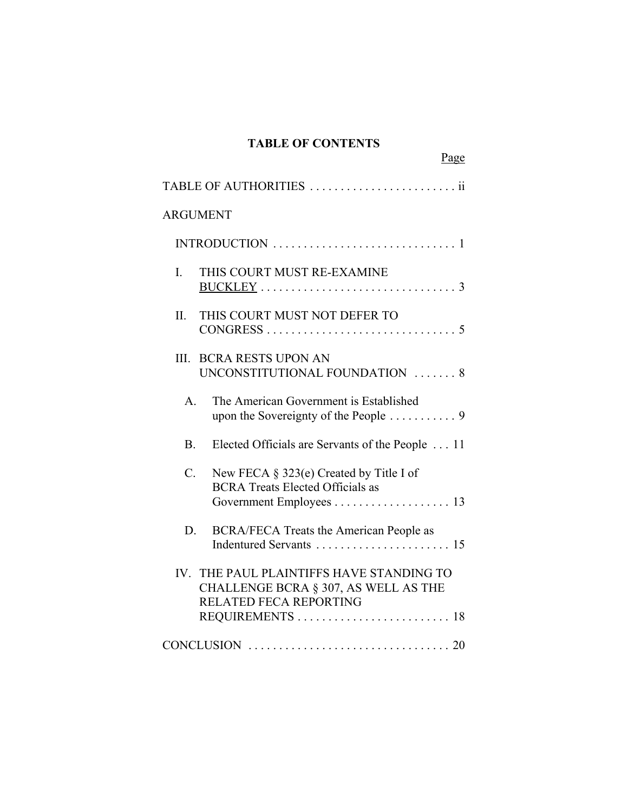# **TABLE OF CONTENTS**

Page

| <b>ARGUMENT</b> |                                                                                                                                       |
|-----------------|---------------------------------------------------------------------------------------------------------------------------------------|
|                 | INTRODUCTION $\dots\dots\dots\dots\dots\dots\dots\dots\dots\dots$                                                                     |
| I.              | THIS COURT MUST RE-EXAMINE                                                                                                            |
| $\prod$         | THIS COURT MUST NOT DEFER TO                                                                                                          |
| III.            | <b>BCRA RESTS UPON AN</b><br>UNCONSTITUTIONAL FOUNDATION  8                                                                           |
| $\mathbf{A}$    | The American Government is Established                                                                                                |
| <b>B.</b>       | Elected Officials are Servants of the People  11                                                                                      |
| $\mathcal{C}$ . | New FECA $\S$ 323(e) Created by Title I of<br><b>BCRA Treats Elected Officials as</b>                                                 |
| D.              | BCRA/FECA Treats the American People as                                                                                               |
|                 | IV. THE PAUL PLAINTIFFS HAVE STANDING TO<br>CHALLENGE BCRA § 307, AS WELL AS THE<br><b>RELATED FECA REPORTING</b><br>REQUIREMENTS  18 |
|                 |                                                                                                                                       |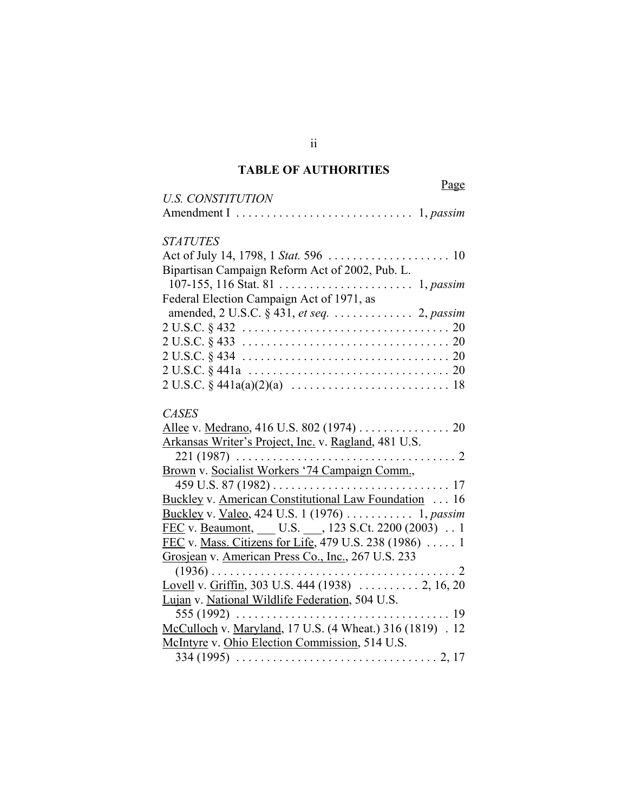# **TABLE OF AUTHORITIES**

| <u>Page</u><br><b>U.S. CONSTITUTION</b>                                                          |
|--------------------------------------------------------------------------------------------------|
|                                                                                                  |
| <b>STATUTES</b>                                                                                  |
|                                                                                                  |
| Bipartisan Campaign Reform Act of 2002, Pub. L.                                                  |
| Federal Election Campaign Act of 1971, as                                                        |
| amended, 2 U.S.C. § 431, et seq. 2, passim                                                       |
|                                                                                                  |
| $2 U.S.C. § 433 \ldots \ldots \ldots \ldots \ldots \ldots \ldots \ldots \ldots \ldots \ldots 20$ |
|                                                                                                  |
|                                                                                                  |
|                                                                                                  |
| <b>CASES</b>                                                                                     |
| Allee v. Medrano, 416 U.S. 802 (1974) 20                                                         |
| Arkansas Writer's Project, Inc. v. Ragland, 481 U.S.                                             |
| . 2<br>$221(1987)$                                                                               |
| Brown v. Socialist Workers '74 Campaign Comm.,                                                   |
| 459 U.S. 87 (1982)<br>. 17                                                                       |
| Buckley v. American Constitutional Law Foundation 16                                             |
|                                                                                                  |
| FEC v. Beaumont, U.S. 323 S.Ct. 2200 (2003) . 1                                                  |
| FEC v. Mass. Citizens for Life, 479 U.S. 238 (1986)  1                                           |
| Grosjean v. American Press Co., Inc., 267 U.S. 233                                               |
|                                                                                                  |
|                                                                                                  |
| Lujan v. National Wildlife Federation, 504 U.S.                                                  |
| $555(1992)$<br>. 19                                                                              |
| McCulloch v. Maryland, 17 U.S. (4 Wheat.) 316 (1819) . 12                                        |
| McIntyre v. Ohio Election Commission, 514 U.S.                                                   |
|                                                                                                  |

ii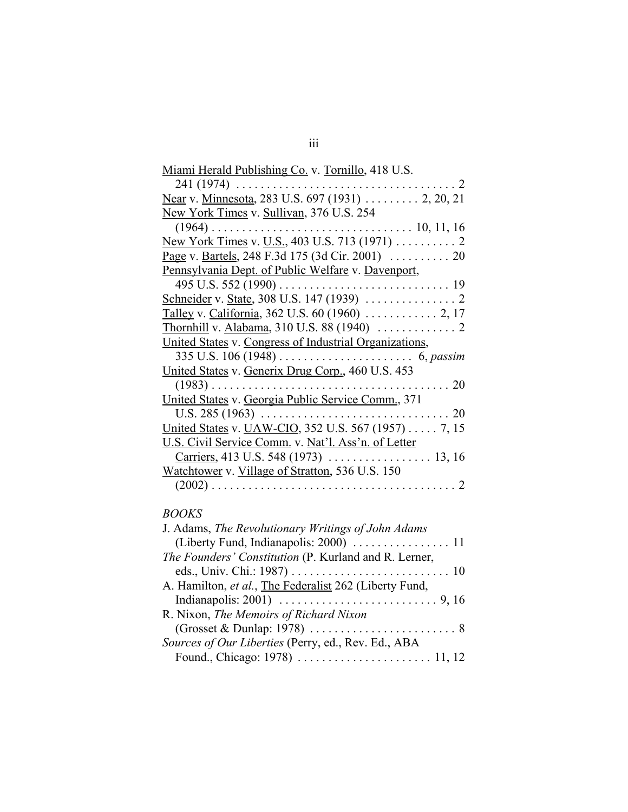| <u>Miami Herald Publishing Co.</u> v. Tornillo, 418 U.S. |
|----------------------------------------------------------|
| $241(1974) \ldots$<br>$\overline{2}$                     |
| Near v. Minnesota, 283 U.S. 697 (1931)  2, 20, 21        |
| New York Times v. Sullivan, 376 U.S. 254                 |
| $(1964) \ldots$                                          |
|                                                          |
|                                                          |
| Pennsylvania Dept. of Public Welfare v. Davenport,       |
|                                                          |
|                                                          |
|                                                          |
|                                                          |
| United States v. Congress of Industrial Organizations,   |
|                                                          |
| United States v. Generix Drug Corp., 460 U.S. 453        |
| $(1983)$<br>$\ldots$ 20                                  |
| United States v. Georgia Public Service Comm., 371       |
| U.S. $285(1963)$<br>20<br>.                              |
| United States v. UAW-CIO, 352 U.S. 567 (1957) 7, 15      |
| U.S. Civil Service Comm. v. Nat'l. Ass'n. of Letter      |
|                                                          |
| Watchtower v. Village of Stratton, 536 U.S. 150          |
| $\mathcal{D}_{\mathcal{A}}$                              |

# *BOOKS*

| J. Adams, The Revolutionary Writings of John Adams                                   |  |
|--------------------------------------------------------------------------------------|--|
|                                                                                      |  |
| The Founders' Constitution (P. Kurland and R. Lerner,                                |  |
|                                                                                      |  |
| A. Hamilton, et al., The Federalist 262 (Liberty Fund,                               |  |
|                                                                                      |  |
| R. Nixon, The Memoirs of Richard Nixon                                               |  |
| $(Grosset & Dunlap: 1978) \ldots \ldots \ldots \ldots \ldots \ldots \ldots \ldots 8$ |  |
| Sources of Our Liberties (Perry, ed., Rev. Ed., ABA                                  |  |
|                                                                                      |  |
|                                                                                      |  |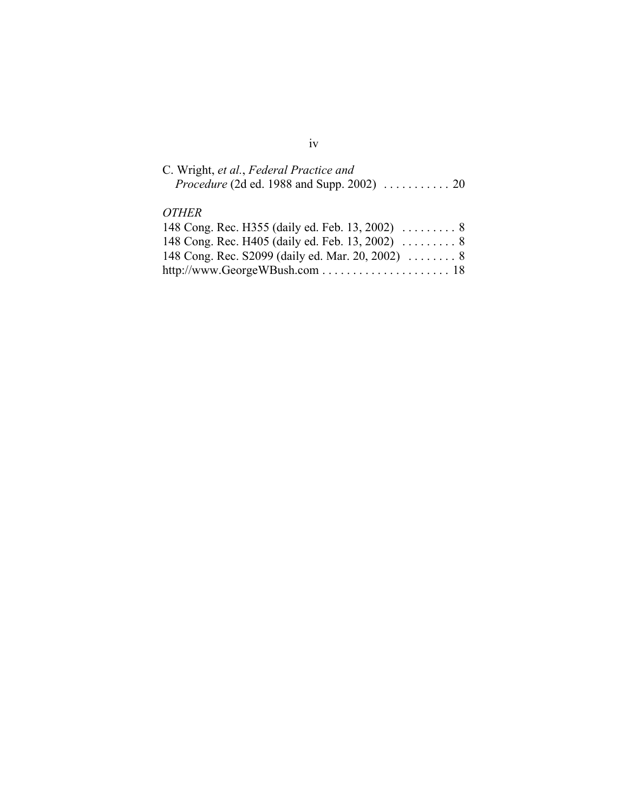| C. Wright, et al., Federal Practice and                                 |  |
|-------------------------------------------------------------------------|--|
| <i>Procedure</i> (2d ed. 1988 and Supp. 2002) $\ldots \ldots \ldots 20$ |  |

# *OTHER*

| 148 Cong. Rec. S2099 (daily ed. Mar. 20, 2002)  8 |  |
|---------------------------------------------------|--|
|                                                   |  |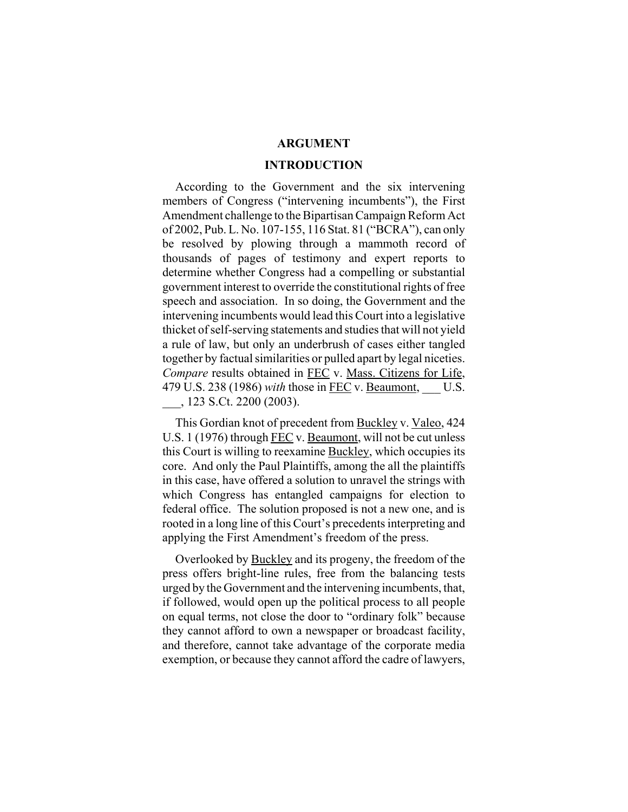#### **ARGUMENT**

#### **INTRODUCTION**

According to the Government and the six intervening members of Congress ("intervening incumbents"), the First Amendment challenge to the Bipartisan Campaign Reform Act of 2002, Pub. L. No. 107-155, 116 Stat. 81 ("BCRA"), can only be resolved by plowing through a mammoth record of thousands of pages of testimony and expert reports to determine whether Congress had a compelling or substantial government interest to override the constitutional rights of free speech and association. In so doing, the Government and the intervening incumbents would lead this Court into a legislative thicket of self-serving statements and studies that will not yield a rule of law, but only an underbrush of cases either tangled together by factual similarities or pulled apart by legal niceties. *Compare* results obtained in FEC v. Mass. Citizens for Life, 479 U.S. 238 (1986) *with* those in FEC v. Beaumont, \_\_\_ U.S. \_\_\_, 123 S.Ct. 2200 (2003).

This Gordian knot of precedent from Buckley v. Valeo, 424 U.S. 1 (1976) through FEC v. Beaumont, will not be cut unless this Court is willing to reexamine Buckley, which occupies its core. And only the Paul Plaintiffs, among the all the plaintiffs in this case, have offered a solution to unravel the strings with which Congress has entangled campaigns for election to federal office. The solution proposed is not a new one, and is rooted in a long line of this Court's precedents interpreting and applying the First Amendment's freedom of the press.

Overlooked by Buckley and its progeny, the freedom of the press offers bright-line rules, free from the balancing tests urged by the Government and the intervening incumbents, that, if followed, would open up the political process to all people on equal terms, not close the door to "ordinary folk" because they cannot afford to own a newspaper or broadcast facility, and therefore, cannot take advantage of the corporate media exemption, or because they cannot afford the cadre of lawyers,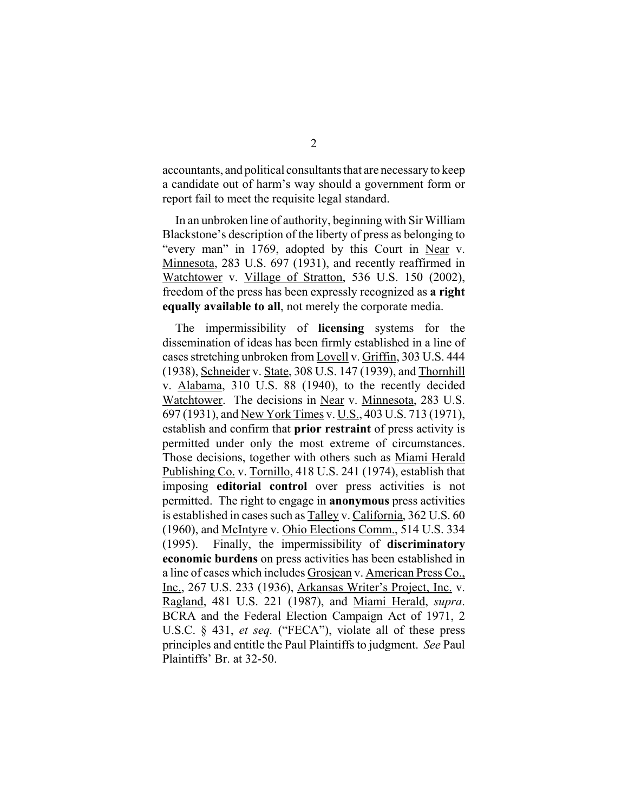accountants, and political consultants that are necessary to keep a candidate out of harm's way should a government form or report fail to meet the requisite legal standard.

In an unbroken line of authority, beginning with Sir William Blackstone's description of the liberty of press as belonging to "every man" in 1769, adopted by this Court in Near v. Minnesota, 283 U.S. 697 (1931), and recently reaffirmed in Watchtower v. Village of Stratton, 536 U.S. 150 (2002), freedom of the press has been expressly recognized as **a right equally available to all**, not merely the corporate media.

The impermissibility of **licensing** systems for the dissemination of ideas has been firmly established in a line of cases stretching unbroken from Lovell v. Griffin, 303 U.S. 444 (1938), Schneider v. State, 308 U.S. 147 (1939), and Thornhill v. Alabama, 310 U.S. 88 (1940), to the recently decided Watchtower. The decisions in Near v. Minnesota, 283 U.S. 697 (1931), and New York Times v. U.S., 403 U.S. 713 (1971), establish and confirm that **prior restraint** of press activity is permitted under only the most extreme of circumstances. Those decisions, together with others such as Miami Herald Publishing Co. v. Tornillo, 418 U.S. 241 (1974), establish that imposing **editorial control** over press activities is not permitted. The right to engage in **anonymous** press activities is established in cases such as Talley v. California, 362 U.S. 60 (1960), and McIntyre v. Ohio Elections Comm., 514 U.S. 334 (1995). Finally, the impermissibility of **discriminatory economic burdens** on press activities has been established in a line of cases which includes Grosjean v. American Press Co., Inc., 267 U.S. 233 (1936), Arkansas Writer's Project, Inc. v. Ragland, 481 U.S. 221 (1987), and Miami Herald, *supra*. BCRA and the Federal Election Campaign Act of 1971, 2 U.S.C. § 431, *et seq.* ("FECA"), violate all of these press principles and entitle the Paul Plaintiffs to judgment. *See* Paul Plaintiffs' Br. at 32-50.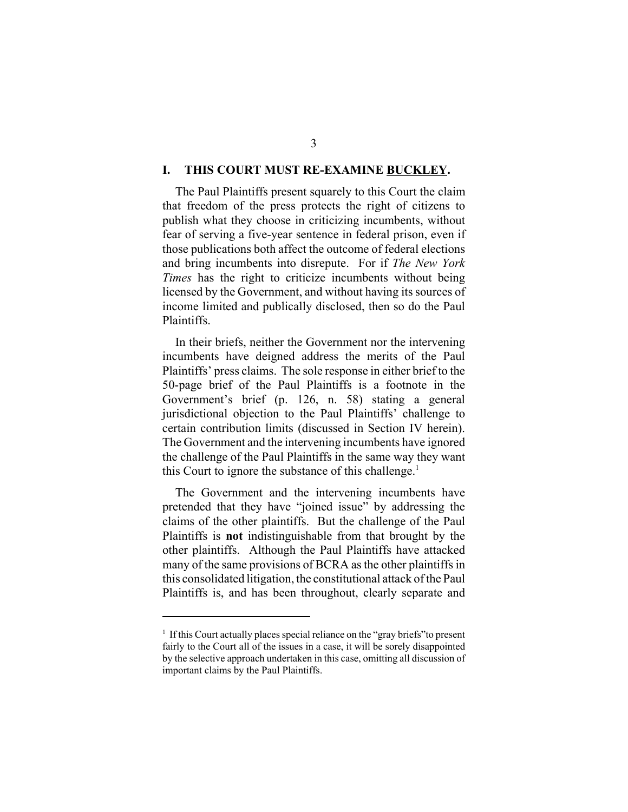#### **I. THIS COURT MUST RE-EXAMINE BUCKLEY.**

The Paul Plaintiffs present squarely to this Court the claim that freedom of the press protects the right of citizens to publish what they choose in criticizing incumbents, without fear of serving a five-year sentence in federal prison, even if those publications both affect the outcome of federal elections and bring incumbents into disrepute. For if *The New York Times* has the right to criticize incumbents without being licensed by the Government, and without having its sources of income limited and publically disclosed, then so do the Paul Plaintiffs.

In their briefs, neither the Government nor the intervening incumbents have deigned address the merits of the Paul Plaintiffs' press claims. The sole response in either brief to the 50-page brief of the Paul Plaintiffs is a footnote in the Government's brief (p. 126, n. 58) stating a general jurisdictional objection to the Paul Plaintiffs' challenge to certain contribution limits (discussed in Section IV herein). The Government and the intervening incumbents have ignored the challenge of the Paul Plaintiffs in the same way they want this Court to ignore the substance of this challenge.<sup>1</sup>

The Government and the intervening incumbents have pretended that they have "joined issue" by addressing the claims of the other plaintiffs. But the challenge of the Paul Plaintiffs is **not** indistinguishable from that brought by the other plaintiffs. Although the Paul Plaintiffs have attacked many of the same provisions of BCRA as the other plaintiffs in this consolidated litigation, the constitutional attack of the Paul Plaintiffs is, and has been throughout, clearly separate and

<sup>&</sup>lt;sup>1</sup> If this Court actually places special reliance on the "gray briefs" to present fairly to the Court all of the issues in a case, it will be sorely disappointed by the selective approach undertaken in this case, omitting all discussion of important claims by the Paul Plaintiffs.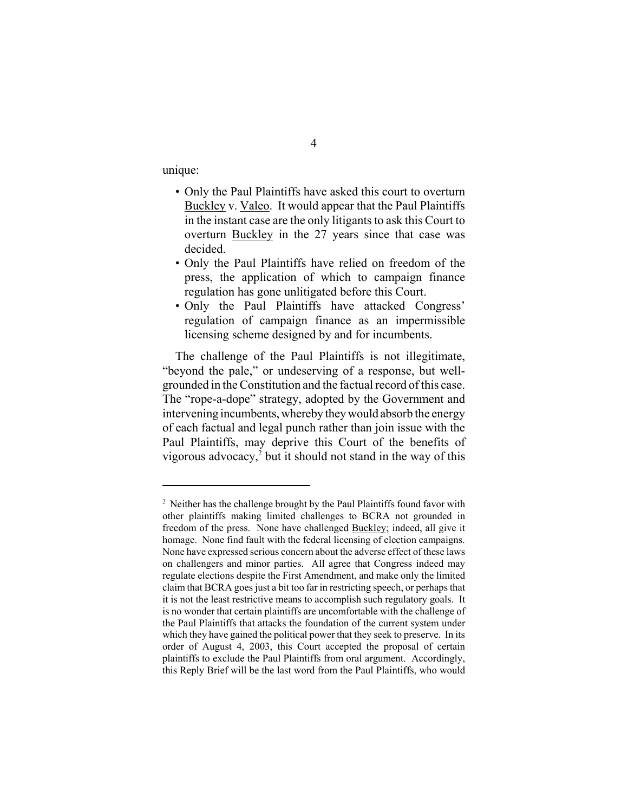unique:

- Only the Paul Plaintiffs have asked this court to overturn Buckley v. Valeo. It would appear that the Paul Plaintiffs in the instant case are the only litigants to ask this Court to overturn Buckley in the 27 years since that case was decided.
- Only the Paul Plaintiffs have relied on freedom of the press, the application of which to campaign finance regulation has gone unlitigated before this Court.
- Only the Paul Plaintiffs have attacked Congress' regulation of campaign finance as an impermissible licensing scheme designed by and for incumbents.

The challenge of the Paul Plaintiffs is not illegitimate, "beyond the pale," or undeserving of a response, but wellgrounded in the Constitution and the factual record of this case. The "rope-a-dope" strategy, adopted by the Government and intervening incumbents, whereby they would absorb the energy of each factual and legal punch rather than join issue with the Paul Plaintiffs, may deprive this Court of the benefits of vigorous advocacy, $2$  but it should not stand in the way of this

<sup>&</sup>lt;sup>2</sup> Neither has the challenge brought by the Paul Plaintiffs found favor with other plaintiffs making limited challenges to BCRA not grounded in freedom of the press. None have challenged Buckley; indeed, all give it homage. None find fault with the federal licensing of election campaigns. None have expressed serious concern about the adverse effect of these laws on challengers and minor parties. All agree that Congress indeed may regulate elections despite the First Amendment, and make only the limited claim that BCRA goes just a bit too far in restricting speech, or perhaps that it is not the least restrictive means to accomplish such regulatory goals. It is no wonder that certain plaintiffs are uncomfortable with the challenge of the Paul Plaintiffs that attacks the foundation of the current system under which they have gained the political power that they seek to preserve. In its order of August 4, 2003, this Court accepted the proposal of certain plaintiffs to exclude the Paul Plaintiffs from oral argument. Accordingly, this Reply Brief will be the last word from the Paul Plaintiffs, who would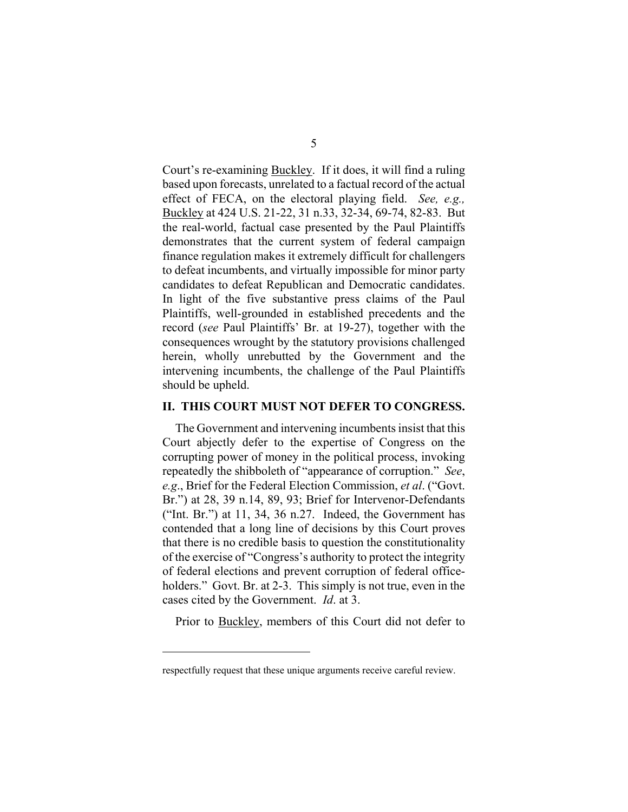Court's re-examining Buckley. If it does, it will find a ruling based upon forecasts, unrelated to a factual record of the actual effect of FECA, on the electoral playing field. *See, e.g.,*  Buckley at 424 U.S. 21-22, 31 n.33, 32-34, 69-74, 82-83. But the real-world, factual case presented by the Paul Plaintiffs demonstrates that the current system of federal campaign finance regulation makes it extremely difficult for challengers to defeat incumbents, and virtually impossible for minor party candidates to defeat Republican and Democratic candidates. In light of the five substantive press claims of the Paul Plaintiffs, well-grounded in established precedents and the record (*see* Paul Plaintiffs' Br. at 19-27), together with the consequences wrought by the statutory provisions challenged herein, wholly unrebutted by the Government and the intervening incumbents, the challenge of the Paul Plaintiffs should be upheld.

#### **II. THIS COURT MUST NOT DEFER TO CONGRESS.**

The Government and intervening incumbents insist that this Court abjectly defer to the expertise of Congress on the corrupting power of money in the political process, invoking repeatedly the shibboleth of "appearance of corruption." *See*, *e.g*., Brief for the Federal Election Commission, *et al*. ("Govt. Br.") at 28, 39 n.14, 89, 93; Brief for Intervenor-Defendants ("Int. Br.") at 11, 34, 36 n.27. Indeed, the Government has contended that a long line of decisions by this Court proves that there is no credible basis to question the constitutionality of the exercise of "Congress's authority to protect the integrity of federal elections and prevent corruption of federal officeholders." Govt. Br. at 2-3. This simply is not true, even in the cases cited by the Government. *Id*. at 3.

Prior to Buckley, members of this Court did not defer to

respectfully request that these unique arguments receive careful review.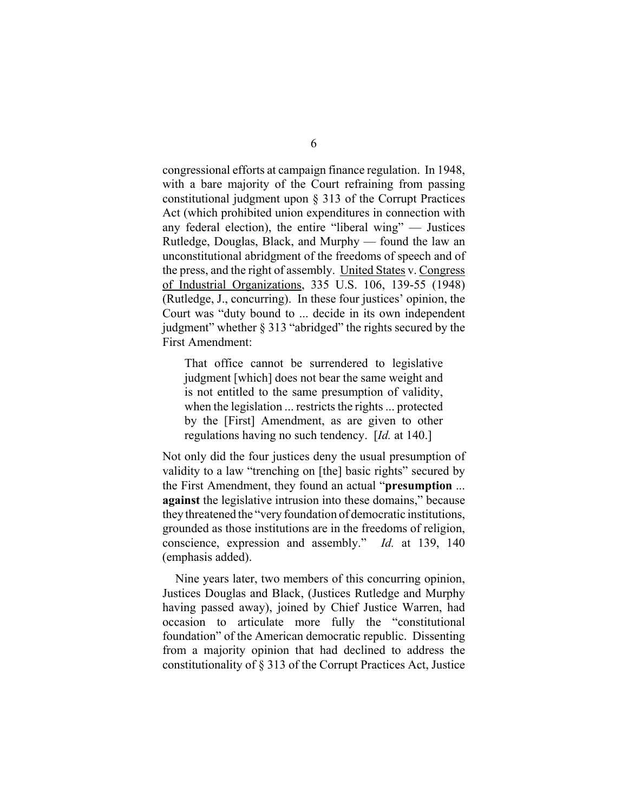congressional efforts at campaign finance regulation. In 1948, with a bare majority of the Court refraining from passing constitutional judgment upon § 313 of the Corrupt Practices Act (which prohibited union expenditures in connection with any federal election), the entire "liberal wing" — Justices Rutledge, Douglas, Black, and Murphy — found the law an unconstitutional abridgment of the freedoms of speech and of the press, and the right of assembly. United States v. Congress of Industrial Organizations, 335 U.S. 106, 139-55 (1948) (Rutledge, J., concurring). In these four justices' opinion, the Court was "duty bound to ... decide in its own independent judgment" whether § 313 "abridged" the rights secured by the First Amendment:

That office cannot be surrendered to legislative judgment [which] does not bear the same weight and is not entitled to the same presumption of validity, when the legislation ... restricts the rights ... protected by the [First] Amendment, as are given to other regulations having no such tendency. [*Id.* at 140.]

Not only did the four justices deny the usual presumption of validity to a law "trenching on [the] basic rights" secured by the First Amendment, they found an actual "**presumption** ... **against** the legislative intrusion into these domains," because they threatened the "very foundation of democratic institutions, grounded as those institutions are in the freedoms of religion, conscience, expression and assembly." *Id.* at 139, 140 (emphasis added).

Nine years later, two members of this concurring opinion, Justices Douglas and Black, (Justices Rutledge and Murphy having passed away), joined by Chief Justice Warren, had occasion to articulate more fully the "constitutional foundation" of the American democratic republic. Dissenting from a majority opinion that had declined to address the constitutionality of § 313 of the Corrupt Practices Act, Justice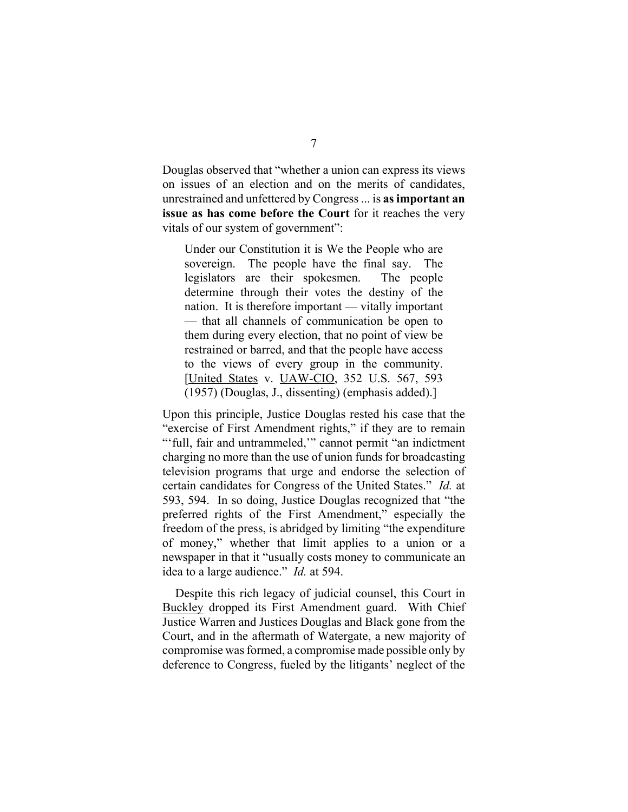Douglas observed that "whether a union can express its views on issues of an election and on the merits of candidates, unrestrained and unfettered by Congress ... is **as important an issue as has come before the Court** for it reaches the very vitals of our system of government":

Under our Constitution it is We the People who are sovereign. The people have the final say. The legislators are their spokesmen. The people determine through their votes the destiny of the nation. It is therefore important — vitally important — that all channels of communication be open to them during every election, that no point of view be restrained or barred, and that the people have access to the views of every group in the community. [United States v. UAW-CIO, 352 U.S. 567, 593 (1957) (Douglas, J., dissenting) (emphasis added).]

Upon this principle, Justice Douglas rested his case that the "exercise of First Amendment rights," if they are to remain "'full, fair and untrammeled," cannot permit "an indictment charging no more than the use of union funds for broadcasting television programs that urge and endorse the selection of certain candidates for Congress of the United States." *Id.* at 593, 594. In so doing, Justice Douglas recognized that "the preferred rights of the First Amendment," especially the freedom of the press, is abridged by limiting "the expenditure of money," whether that limit applies to a union or a newspaper in that it "usually costs money to communicate an idea to a large audience." *Id.* at 594.

Despite this rich legacy of judicial counsel, this Court in Buckley dropped its First Amendment guard. With Chief Justice Warren and Justices Douglas and Black gone from the Court, and in the aftermath of Watergate, a new majority of compromise was formed, a compromise made possible only by deference to Congress, fueled by the litigants' neglect of the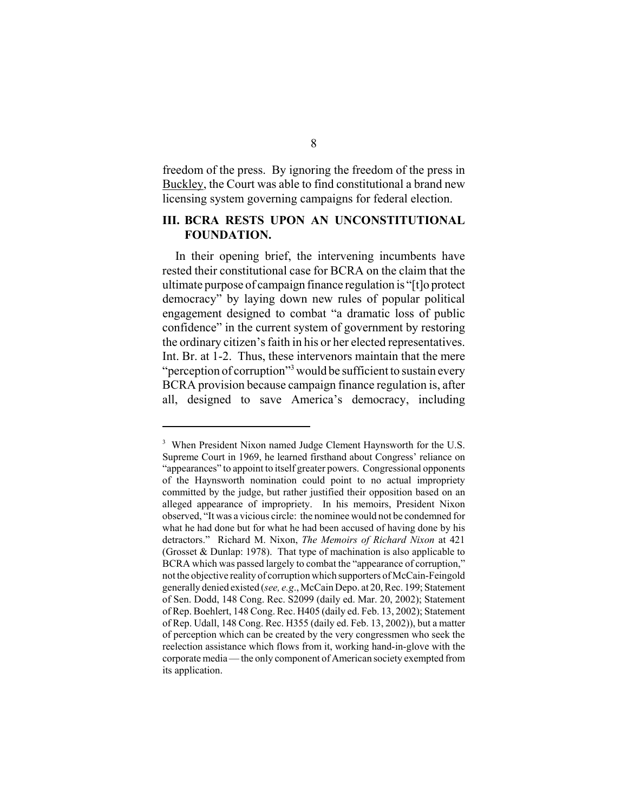freedom of the press. By ignoring the freedom of the press in Buckley, the Court was able to find constitutional a brand new licensing system governing campaigns for federal election.

### **III. BCRA RESTS UPON AN UNCONSTITUTIONAL FOUNDATION.**

In their opening brief, the intervening incumbents have rested their constitutional case for BCRA on the claim that the ultimate purpose of campaign finance regulation is "[t]o protect democracy" by laying down new rules of popular political engagement designed to combat "a dramatic loss of public confidence" in the current system of government by restoring the ordinary citizen's faith in his or her elected representatives. Int. Br. at 1-2. Thus, these intervenors maintain that the mere "perception of corruption"<sup>3</sup> would be sufficient to sustain every BCRA provision because campaign finance regulation is, after all, designed to save America's democracy, including

<sup>&</sup>lt;sup>3</sup> When President Nixon named Judge Clement Haynsworth for the U.S. Supreme Court in 1969, he learned firsthand about Congress' reliance on "appearances" to appoint to itself greater powers. Congressional opponents of the Haynsworth nomination could point to no actual impropriety committed by the judge, but rather justified their opposition based on an alleged appearance of impropriety. In his memoirs, President Nixon observed, "It was a vicious circle: the nominee would not be condemned for what he had done but for what he had been accused of having done by his detractors." Richard M. Nixon, *The Memoirs of Richard Nixon* at 421 (Grosset & Dunlap: 1978). That type of machination is also applicable to BCRA which was passed largely to combat the "appearance of corruption," not the objective reality of corruption which supporters of McCain-Feingold generally denied existed (*see, e.g*., McCain Depo. at 20, Rec. 199; Statement of Sen. Dodd, 148 Cong. Rec. S2099 (daily ed. Mar. 20, 2002); Statement of Rep. Boehlert, 148 Cong. Rec. H405 (daily ed. Feb. 13, 2002); Statement of Rep. Udall, 148 Cong. Rec. H355 (daily ed. Feb. 13, 2002)), but a matter of perception which can be created by the very congressmen who seek the reelection assistance which flows from it, working hand-in-glove with the corporate media — the only component of American society exempted from its application.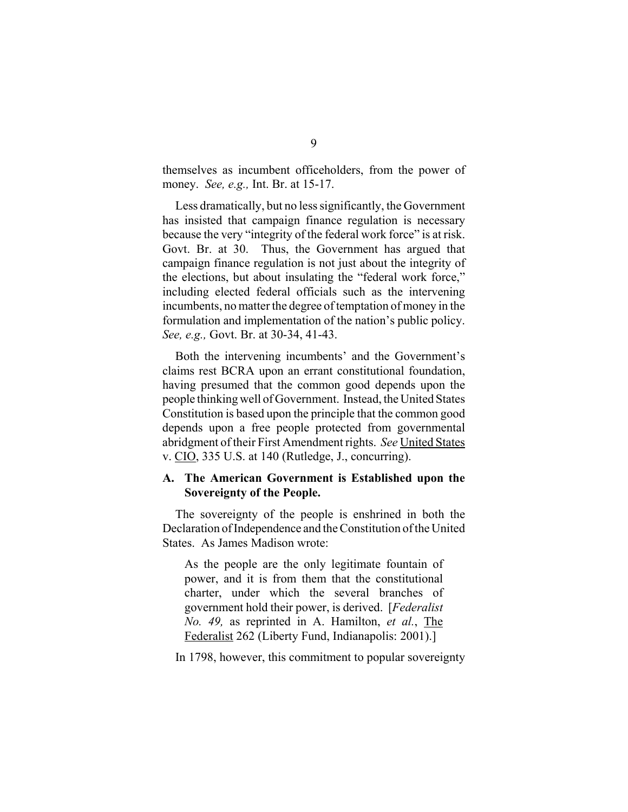themselves as incumbent officeholders, from the power of money. *See, e.g.,* Int. Br. at 15-17.

Less dramatically, but no less significantly, the Government has insisted that campaign finance regulation is necessary because the very "integrity of the federal work force" is at risk. Govt. Br. at 30. Thus, the Government has argued that campaign finance regulation is not just about the integrity of the elections, but about insulating the "federal work force," including elected federal officials such as the intervening incumbents, no matter the degree of temptation of money in the formulation and implementation of the nation's public policy. *See, e.g.,* Govt. Br. at 30-34, 41-43.

Both the intervening incumbents' and the Government's claims rest BCRA upon an errant constitutional foundation, having presumed that the common good depends upon the people thinking well of Government. Instead, the United States Constitution is based upon the principle that the common good depends upon a free people protected from governmental abridgment of their First Amendment rights. *See* United States v. CIO, 335 U.S. at 140 (Rutledge, J., concurring).

### **A. The American Government is Established upon the Sovereignty of the People.**

The sovereignty of the people is enshrined in both the Declaration of Independence and the Constitution of the United States. As James Madison wrote:

As the people are the only legitimate fountain of power, and it is from them that the constitutional charter, under which the several branches of government hold their power, is derived. [*Federalist No. 49,* as reprinted in A. Hamilton, *et al.*, The Federalist 262 (Liberty Fund, Indianapolis: 2001).]

In 1798, however, this commitment to popular sovereignty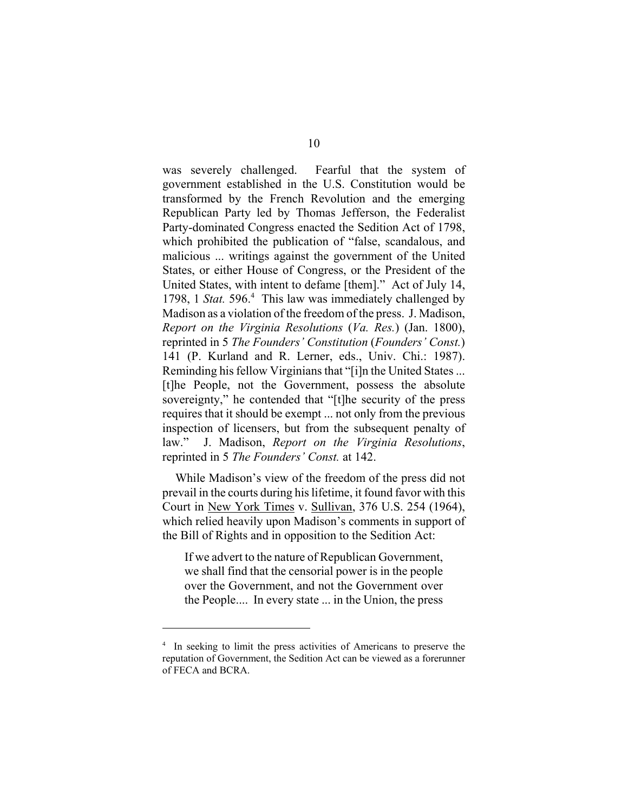was severely challenged. Fearful that the system of government established in the U.S. Constitution would be transformed by the French Revolution and the emerging Republican Party led by Thomas Jefferson, the Federalist Party-dominated Congress enacted the Sedition Act of 1798, which prohibited the publication of "false, scandalous, and malicious ... writings against the government of the United States, or either House of Congress, or the President of the United States, with intent to defame [them]." Act of July 14, 1798, 1 *Stat.* 596.<sup>4</sup> This law was immediately challenged by Madison as a violation of the freedom of the press. J. Madison, *Report on the Virginia Resolutions* (*Va. Res.*) (Jan. 1800), reprinted in 5 *The Founders' Constitution* (*Founders' Const.*) 141 (P. Kurland and R. Lerner, eds., Univ. Chi.: 1987). Reminding his fellow Virginians that "[i]n the United States ... [t]he People, not the Government, possess the absolute sovereignty," he contended that "[t]he security of the press requires that it should be exempt ... not only from the previous inspection of licensers, but from the subsequent penalty of law." J. Madison, *Report on the Virginia Resolutions*, reprinted in 5 *The Founders' Const.* at 142.

While Madison's view of the freedom of the press did not prevail in the courts during his lifetime, it found favor with this Court in New York Times v. Sullivan, 376 U.S. 254 (1964), which relied heavily upon Madison's comments in support of the Bill of Rights and in opposition to the Sedition Act:

If we advert to the nature of Republican Government, we shall find that the censorial power is in the people over the Government, and not the Government over the People.... In every state ... in the Union, the press

<sup>&</sup>lt;sup>4</sup> In seeking to limit the press activities of Americans to preserve the reputation of Government, the Sedition Act can be viewed as a forerunner of FECA and BCRA.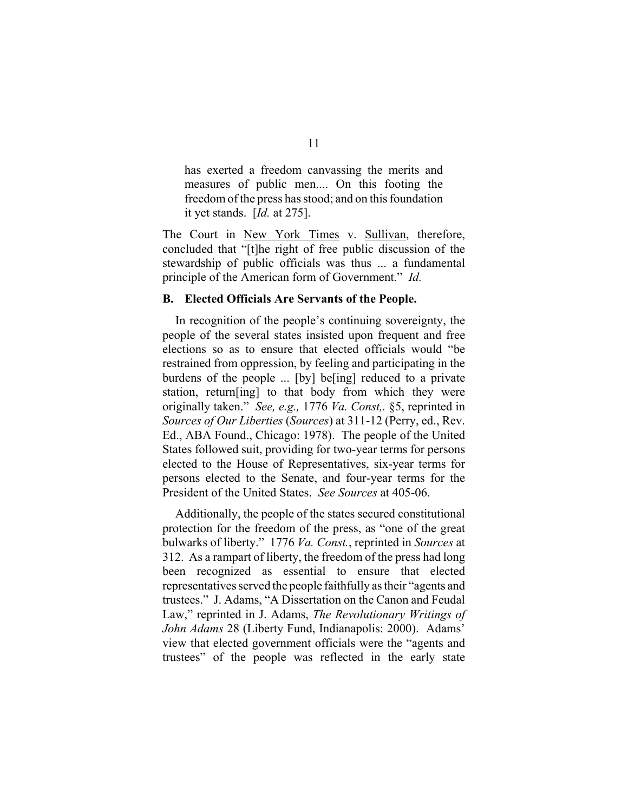has exerted a freedom canvassing the merits and measures of public men.... On this footing the freedom of the press has stood; and on this foundation it yet stands. [*Id.* at 275].

The Court in New York Times v. Sullivan, therefore, concluded that "[t]he right of free public discussion of the stewardship of public officials was thus ... a fundamental principle of the American form of Government." *Id.* 

#### **B. Elected Officials Are Servants of the People.**

In recognition of the people's continuing sovereignty, the people of the several states insisted upon frequent and free elections so as to ensure that elected officials would "be restrained from oppression, by feeling and participating in the burdens of the people ... [by] be[ing] reduced to a private station, return[ing] to that body from which they were originally taken." *See, e.g.,* 1776 *Va. Const,.* §5, reprinted in *Sources of Our Liberties* (*Sources*) at 311-12 (Perry, ed., Rev. Ed., ABA Found., Chicago: 1978). The people of the United States followed suit, providing for two-year terms for persons elected to the House of Representatives, six-year terms for persons elected to the Senate, and four-year terms for the President of the United States. *See Sources* at 405-06.

Additionally, the people of the states secured constitutional protection for the freedom of the press, as "one of the great bulwarks of liberty." 1776 *Va. Const.*, reprinted in *Sources* at 312. As a rampart of liberty, the freedom of the press had long been recognized as essential to ensure that elected representatives served the people faithfully as their "agents and trustees." J. Adams, "A Dissertation on the Canon and Feudal Law," reprinted in J. Adams, *The Revolutionary Writings of John Adams* 28 (Liberty Fund, Indianapolis: 2000). Adams' view that elected government officials were the "agents and trustees" of the people was reflected in the early state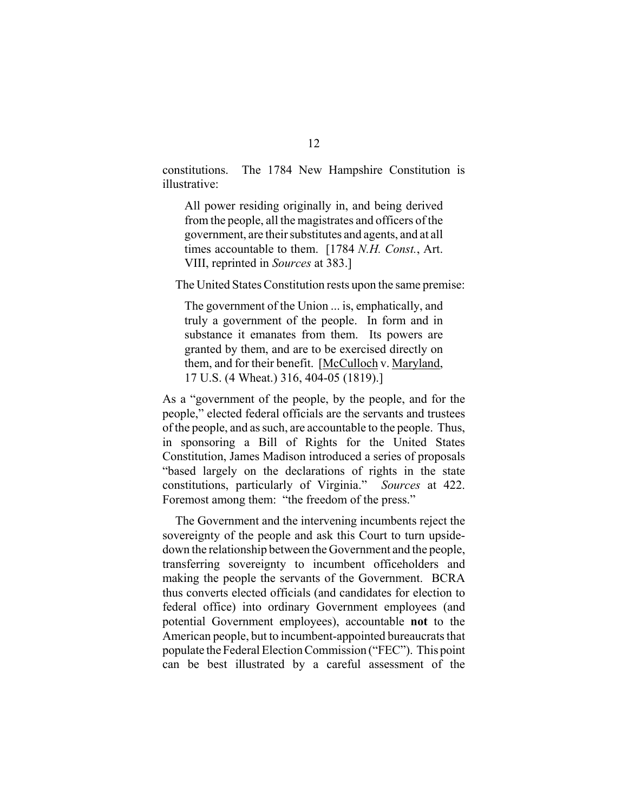constitutions. The 1784 New Hampshire Constitution is illustrative:

All power residing originally in, and being derived from the people, all the magistrates and officers of the government, are their substitutes and agents, and at all times accountable to them. [1784 *N.H. Const.*, Art. VIII, reprinted in *Sources* at 383.]

The United States Constitution rests upon the same premise:

The government of the Union ... is, emphatically, and truly a government of the people. In form and in substance it emanates from them. Its powers are granted by them, and are to be exercised directly on them, and for their benefit. [McCulloch v. Maryland, 17 U.S. (4 Wheat.) 316, 404-05 (1819).]

As a "government of the people, by the people, and for the people," elected federal officials are the servants and trustees of the people, and as such, are accountable to the people. Thus, in sponsoring a Bill of Rights for the United States Constitution, James Madison introduced a series of proposals "based largely on the declarations of rights in the state constitutions, particularly of Virginia." *Sources* at 422. Foremost among them: "the freedom of the press."

The Government and the intervening incumbents reject the sovereignty of the people and ask this Court to turn upsidedown the relationship between the Government and the people, transferring sovereignty to incumbent officeholders and making the people the servants of the Government. BCRA thus converts elected officials (and candidates for election to federal office) into ordinary Government employees (and potential Government employees), accountable **not** to the American people, but to incumbent-appointed bureaucrats that populate the Federal Election Commission ("FEC"). This point can be best illustrated by a careful assessment of the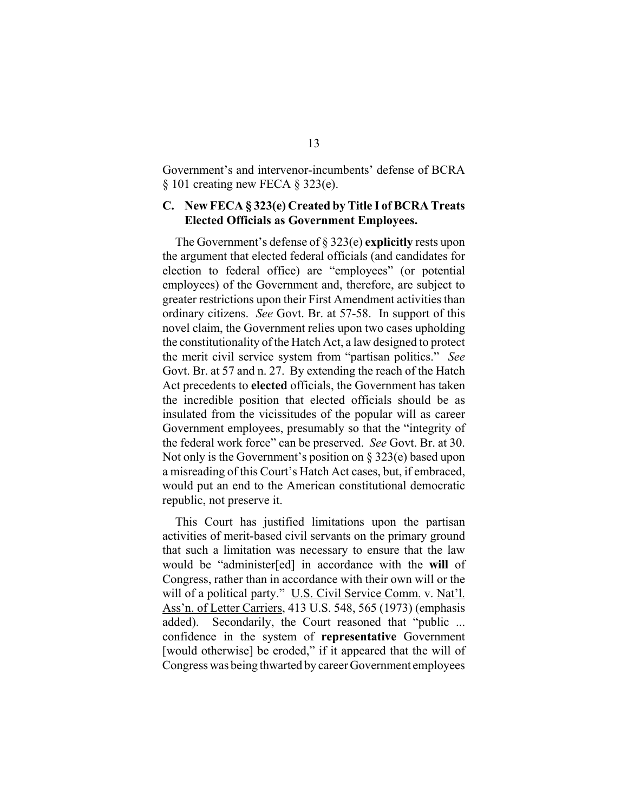Government's and intervenor-incumbents' defense of BCRA § 101 creating new FECA § 323(e).

### **C. New FECA § 323(e) Created by Title I of BCRA Treats Elected Officials as Government Employees.**

The Government's defense of § 323(e) **explicitly** rests upon the argument that elected federal officials (and candidates for election to federal office) are "employees" (or potential employees) of the Government and, therefore, are subject to greater restrictions upon their First Amendment activities than ordinary citizens. *See* Govt. Br. at 57-58. In support of this novel claim, the Government relies upon two cases upholding the constitutionality of the Hatch Act, a law designed to protect the merit civil service system from "partisan politics." *See*  Govt. Br. at 57 and n. 27. By extending the reach of the Hatch Act precedents to **elected** officials, the Government has taken the incredible position that elected officials should be as insulated from the vicissitudes of the popular will as career Government employees, presumably so that the "integrity of the federal work force" can be preserved. *See* Govt. Br. at 30. Not only is the Government's position on § 323(e) based upon a misreading of this Court's Hatch Act cases, but, if embraced, would put an end to the American constitutional democratic republic, not preserve it.

This Court has justified limitations upon the partisan activities of merit-based civil servants on the primary ground that such a limitation was necessary to ensure that the law would be "administer[ed] in accordance with the **will** of Congress, rather than in accordance with their own will or the will of a political party." U.S. Civil Service Comm. v. Nat'l. Ass'n. of Letter Carriers, 413 U.S. 548, 565 (1973) (emphasis added). Secondarily, the Court reasoned that "public ... confidence in the system of **representative** Government [would otherwise] be eroded," if it appeared that the will of Congress was being thwarted by career Government employees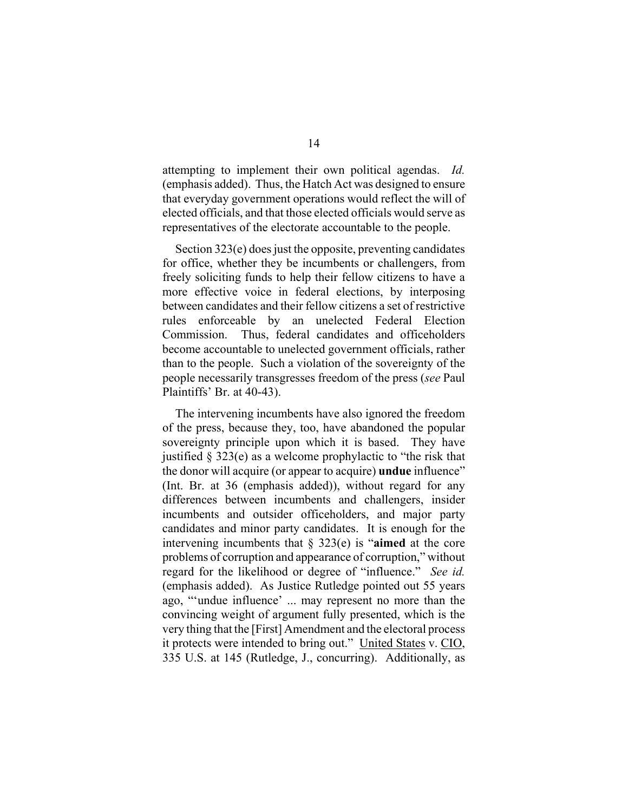attempting to implement their own political agendas. *Id.*  (emphasis added). Thus, the Hatch Act was designed to ensure that everyday government operations would reflect the will of elected officials, and that those elected officials would serve as representatives of the electorate accountable to the people.

Section 323(e) does just the opposite, preventing candidates for office, whether they be incumbents or challengers, from freely soliciting funds to help their fellow citizens to have a more effective voice in federal elections, by interposing between candidates and their fellow citizens a set of restrictive rules enforceable by an unelected Federal Election Commission. Thus, federal candidates and officeholders become accountable to unelected government officials, rather than to the people. Such a violation of the sovereignty of the people necessarily transgresses freedom of the press (*see* Paul Plaintiffs' Br. at 40-43).

The intervening incumbents have also ignored the freedom of the press, because they, too, have abandoned the popular sovereignty principle upon which it is based. They have justified  $\S 323(e)$  as a welcome prophylactic to "the risk that the donor will acquire (or appear to acquire) **undue** influence" (Int. Br. at 36 (emphasis added)), without regard for any differences between incumbents and challengers, insider incumbents and outsider officeholders, and major party candidates and minor party candidates. It is enough for the intervening incumbents that § 323(e) is "**aimed** at the core problems of corruption and appearance of corruption," without regard for the likelihood or degree of "influence." *See id.*  (emphasis added). As Justice Rutledge pointed out 55 years ago, "'undue influence' ... may represent no more than the convincing weight of argument fully presented, which is the very thing that the [First] Amendment and the electoral process it protects were intended to bring out." United States v. CIO, 335 U.S. at 145 (Rutledge, J., concurring). Additionally, as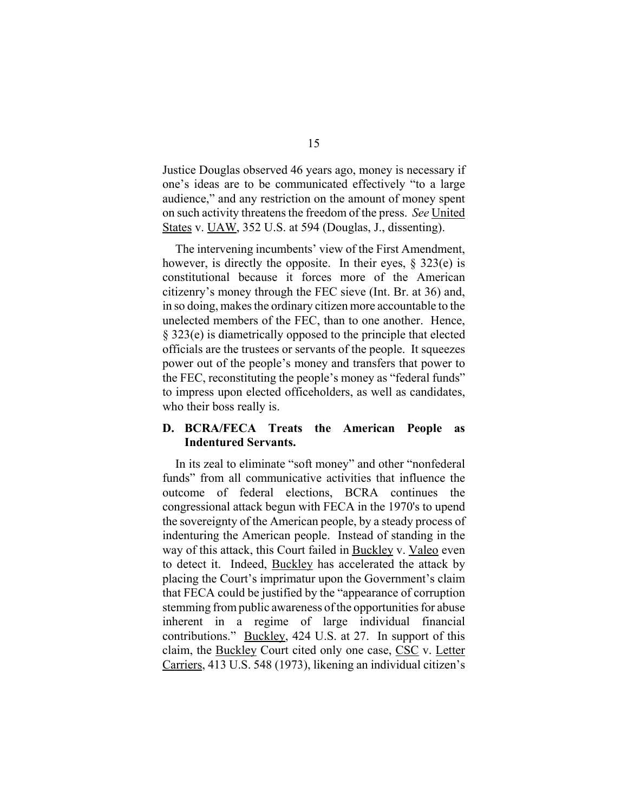Justice Douglas observed 46 years ago, money is necessary if one's ideas are to be communicated effectively "to a large audience," and any restriction on the amount of money spent on such activity threatens the freedom of the press. *See* United States v. UAW, 352 U.S. at 594 (Douglas, J., dissenting).

The intervening incumbents' view of the First Amendment, however, is directly the opposite. In their eyes, § 323(e) is constitutional because it forces more of the American citizenry's money through the FEC sieve (Int. Br. at 36) and, in so doing, makes the ordinary citizen more accountable to the unelected members of the FEC, than to one another. Hence, § 323(e) is diametrically opposed to the principle that elected officials are the trustees or servants of the people. It squeezes power out of the people's money and transfers that power to the FEC, reconstituting the people's money as "federal funds" to impress upon elected officeholders, as well as candidates, who their boss really is.

### **D. BCRA/FECA Treats the American People as Indentured Servants.**

In its zeal to eliminate "soft money" and other "nonfederal funds" from all communicative activities that influence the outcome of federal elections, BCRA continues the congressional attack begun with FECA in the 1970's to upend the sovereignty of the American people, by a steady process of indenturing the American people. Instead of standing in the way of this attack, this Court failed in Buckley v. Valeo even to detect it. Indeed, Buckley has accelerated the attack by placing the Court's imprimatur upon the Government's claim that FECA could be justified by the "appearance of corruption stemming from public awareness of the opportunities for abuse inherent in a regime of large individual financial contributions." Buckley, 424 U.S. at 27. In support of this claim, the Buckley Court cited only one case, CSC v. Letter Carriers, 413 U.S. 548 (1973), likening an individual citizen's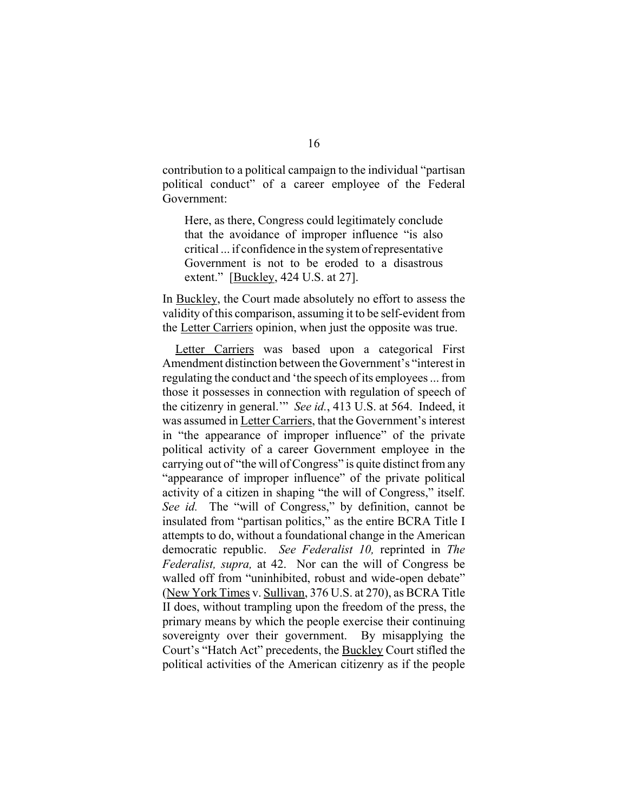contribution to a political campaign to the individual "partisan political conduct" of a career employee of the Federal Government:

Here, as there, Congress could legitimately conclude that the avoidance of improper influence "is also critical ... if confidence in the system of representative Government is not to be eroded to a disastrous extent." [Buckley, 424 U.S. at 27].

In Buckley, the Court made absolutely no effort to assess the validity of this comparison, assuming it to be self-evident from the Letter Carriers opinion, when just the opposite was true.

Letter Carriers was based upon a categorical First Amendment distinction between the Government's "interest in regulating the conduct and 'the speech of its employees ... from those it possesses in connection with regulation of speech of the citizenry in general.'" *See id.*, 413 U.S. at 564. Indeed, it was assumed in Letter Carriers, that the Government's interest in "the appearance of improper influence" of the private political activity of a career Government employee in the carrying out of "the will of Congress" is quite distinct from any "appearance of improper influence" of the private political activity of a citizen in shaping "the will of Congress," itself. *See id.* The "will of Congress," by definition, cannot be insulated from "partisan politics," as the entire BCRA Title I attempts to do, without a foundational change in the American democratic republic. *See Federalist 10,* reprinted in *The Federalist, supra,* at 42. Nor can the will of Congress be walled off from "uninhibited, robust and wide-open debate" (New York Times v. Sullivan, 376 U.S. at 270), as BCRA Title II does, without trampling upon the freedom of the press, the primary means by which the people exercise their continuing sovereignty over their government. By misapplying the Court's "Hatch Act" precedents, the Buckley Court stifled the political activities of the American citizenry as if the people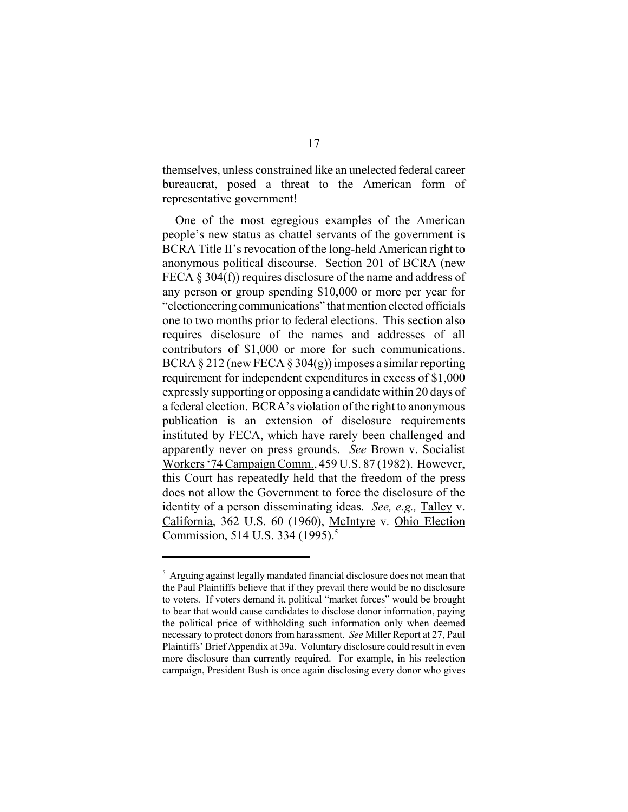themselves, unless constrained like an unelected federal career bureaucrat, posed a threat to the American form of representative government!

One of the most egregious examples of the American people's new status as chattel servants of the government is BCRA Title II's revocation of the long-held American right to anonymous political discourse. Section 201 of BCRA (new FECA § 304(f)) requires disclosure of the name and address of any person or group spending \$10,000 or more per year for "electioneering communications" that mention elected officials one to two months prior to federal elections. This section also requires disclosure of the names and addresses of all contributors of \$1,000 or more for such communications. BCRA § 212 (new FECA § 304(g)) imposes a similar reporting requirement for independent expenditures in excess of \$1,000 expressly supporting or opposing a candidate within 20 days of a federal election. BCRA's violation of the right to anonymous publication is an extension of disclosure requirements instituted by FECA, which have rarely been challenged and apparently never on press grounds. *See* Brown v. Socialist Workers '74 Campaign Comm., 459 U.S. 87 (1982). However, this Court has repeatedly held that the freedom of the press does not allow the Government to force the disclosure of the identity of a person disseminating ideas. *See, e.g.,* Talley v. California, 362 U.S. 60 (1960), McIntyre v. Ohio Election Commission, 514 U.S. 334 (1995).<sup>5</sup>

<sup>&</sup>lt;sup>5</sup> Arguing against legally mandated financial disclosure does not mean that the Paul Plaintiffs believe that if they prevail there would be no disclosure to voters. If voters demand it, political "market forces" would be brought to bear that would cause candidates to disclose donor information, paying the political price of withholding such information only when deemed necessary to protect donors from harassment. *See* Miller Report at 27, Paul Plaintiffs' Brief Appendix at 39a. Voluntary disclosure could result in even more disclosure than currently required. For example, in his reelection campaign, President Bush is once again disclosing every donor who gives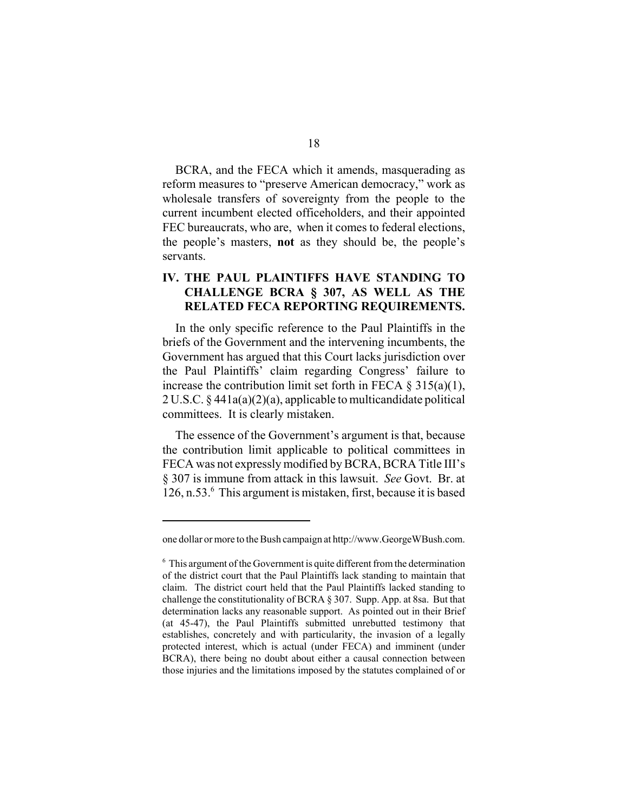BCRA, and the FECA which it amends, masquerading as reform measures to "preserve American democracy," work as wholesale transfers of sovereignty from the people to the current incumbent elected officeholders, and their appointed FEC bureaucrats, who are, when it comes to federal elections, the people's masters, **not** as they should be, the people's servants.

## **IV. THE PAUL PLAINTIFFS HAVE STANDING TO CHALLENGE BCRA § 307, AS WELL AS THE RELATED FECA REPORTING REQUIREMENTS.**

In the only specific reference to the Paul Plaintiffs in the briefs of the Government and the intervening incumbents, the Government has argued that this Court lacks jurisdiction over the Paul Plaintiffs' claim regarding Congress' failure to increase the contribution limit set forth in FECA  $\S$  315(a)(1), 2 U.S.C. § 441a(a)(2)(a), applicable to multicandidate political committees. It is clearly mistaken.

The essence of the Government's argument is that, because the contribution limit applicable to political committees in FECA was not expressly modified by BCRA, BCRA Title III's § 307 is immune from attack in this lawsuit. *See* Govt. Br. at 126, n.53.<sup>6</sup> This argument is mistaken, first, because it is based

one dollar or more to the Bush campaign at http://www.GeorgeWBush.com.

<sup>6</sup> This argument of the Government is quite different from the determination of the district court that the Paul Plaintiffs lack standing to maintain that claim. The district court held that the Paul Plaintiffs lacked standing to challenge the constitutionality of BCRA § 307. Supp. App. at 8sa. But that determination lacks any reasonable support. As pointed out in their Brief (at 45-47), the Paul Plaintiffs submitted unrebutted testimony that establishes, concretely and with particularity, the invasion of a legally protected interest, which is actual (under FECA) and imminent (under BCRA), there being no doubt about either a causal connection between those injuries and the limitations imposed by the statutes complained of or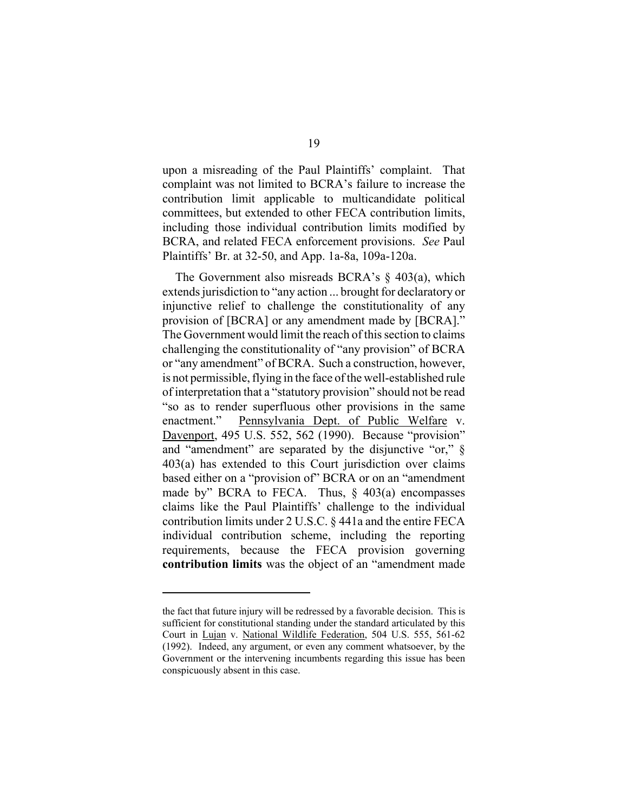upon a misreading of the Paul Plaintiffs' complaint. That complaint was not limited to BCRA's failure to increase the contribution limit applicable to multicandidate political committees, but extended to other FECA contribution limits, including those individual contribution limits modified by BCRA, and related FECA enforcement provisions. *See* Paul Plaintiffs' Br. at 32-50, and App. 1a-8a, 109a-120a.

The Government also misreads BCRA's § 403(a), which extends jurisdiction to "any action ... brought for declaratory or injunctive relief to challenge the constitutionality of any provision of [BCRA] or any amendment made by [BCRA]." The Government would limit the reach of this section to claims challenging the constitutionality of "any provision" of BCRA or "any amendment" of BCRA. Such a construction, however, is not permissible, flying in the face of the well-established rule of interpretation that a "statutory provision" should not be read "so as to render superfluous other provisions in the same enactment." Pennsylvania Dept. of Public Welfare v. Davenport, 495 U.S. 552, 562 (1990). Because "provision" and "amendment" are separated by the disjunctive "or," § 403(a) has extended to this Court jurisdiction over claims based either on a "provision of" BCRA or on an "amendment made by" BCRA to FECA. Thus, § 403(a) encompasses claims like the Paul Plaintiffs' challenge to the individual contribution limits under 2 U.S.C. § 441a and the entire FECA individual contribution scheme, including the reporting requirements, because the FECA provision governing **contribution limits** was the object of an "amendment made

the fact that future injury will be redressed by a favorable decision. This is sufficient for constitutional standing under the standard articulated by this Court in Lujan v. National Wildlife Federation, 504 U.S. 555, 561-62 (1992). Indeed, any argument, or even any comment whatsoever, by the Government or the intervening incumbents regarding this issue has been conspicuously absent in this case.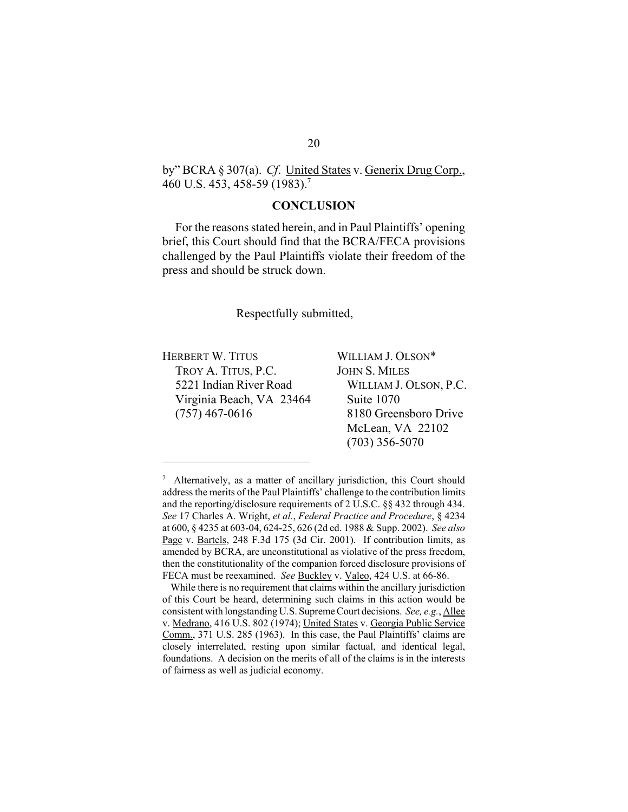by" BCRA § 307(a). *Cf*. United States v. Generix Drug Corp., 460 U.S. 453, 458-59 (1983).7

#### **CONCLUSION**

For the reasons stated herein, and in Paul Plaintiffs' opening brief, this Court should find that the BCRA/FECA provisions challenged by the Paul Plaintiffs violate their freedom of the press and should be struck down.

Respectfully submitted,

HERBERT W. TITUS TROY A. TITUS, P.C. 5221 Indian River Road Virginia Beach, VA 23464 (757) 467-0616

WILLIAM J. OLSON\* JOHN S. MILES WILLIAM J. OLSON, P.C. Suite 1070 8180 Greensboro Drive McLean, VA 22102 (703) 356-5070

<sup>&</sup>lt;sup>7</sup> Alternatively, as a matter of ancillary jurisdiction, this Court should address the merits of the Paul Plaintiffs' challenge to the contribution limits and the reporting/disclosure requirements of 2 U.S.C. §§ 432 through 434. *See* 17 Charles A. Wright, *et al.*, *Federal Practice and Procedure*, § 4234 at 600, § 4235 at 603-04, 624-25, 626 (2d ed. 1988 & Supp. 2002). *See also*  Page v. Bartels, 248 F.3d 175 (3d Cir. 2001). If contribution limits, as amended by BCRA, are unconstitutional as violative of the press freedom, then the constitutionality of the companion forced disclosure provisions of FECA must be reexamined. *See* Buckley v. Valeo, 424 U.S. at 66-86.

While there is no requirement that claims within the ancillary jurisdiction of this Court be heard, determining such claims in this action would be consistent with longstanding U.S. Supreme Court decisions. *See, e.g.*, Allee v. Medrano, 416 U.S. 802 (1974); United States v. Georgia Public Service Comm., 371 U.S. 285 (1963). In this case, the Paul Plaintiffs' claims are closely interrelated, resting upon similar factual, and identical legal, foundations. A decision on the merits of all of the claims is in the interests of fairness as well as judicial economy.